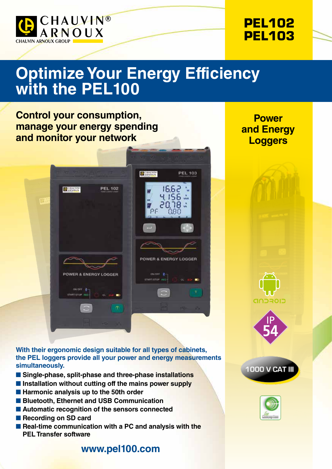



# **Optimize Your Energy Efficiency with the PEL100**

**O SHAUVIN** 

**PEL 103** 

 $\blacksquare$ 

16.62

4.156 \*80.05 08C

POWER & ENERGY LOGGER

ON/OFF 2

### **Control your consumption, manage your energy spending and monitor your network**

**CO SHAUVING** 

**PEL 102** 

**Power and Energy Loggers**

**With their ergonomic design suitable for all types of cabinets, the PEL loggers provide all your power and energy measurements simultaneously.**

w

- **n** Single-phase, split-phase and three-phase installations
- **E** Installation without cutting off the mains power supply
- $\blacksquare$  **Harmonic analysis up to the 50th order**
- Bluetooth, Ethernet and USB Communication

**POWER & ENERGY LOGGER** 

**START/STOP** 

- Automatic recognition of the sensors connected
- **n** Recording on SD card
- Real-time communication with a PC and analysis with the **PEL Transfer software**

#### **www.pel100.com**







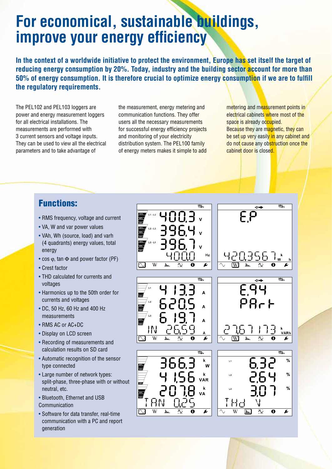## **For economical, sustainable buildings, improve your energy efficiency**

**In the context of a worldwide initiative to protect the environment, Europe has set itself the target of reducing energy consumption by 20%. Today, industry and the building sector account for more than 50% of energy consumption. It is therefore crucial to optimize energy consumption if we are to fulfill the regulatory requirements.** 

The PEL102 and PEL103 loggers are power and energy measurement loggers for all electrical installations. The measurements are performed with 3 current sensors and voltage inputs. They can be used to view all the electrical parameters and to take advantage of

the measurement, energy metering and communication functions. They offer users all the necessary measurements for successful energy efficiency projects and monitoring of your electricity distribution system. The PEL100 family of energy meters makes it simple to add

metering and measurement points in electrical cabinets where most of the space is already occupied. Because they are magnetic, they can be set up very easily in any cabinet and do not cause any obstruction once the cabinet door is closed.

 $\overline{10+}$ 

 $\overline{\mathbf{e}}$ 

 $191.$ 

.<br>VARh

F

%

%

%

 $\overline{\mathbf{r}}$ 

 $\overline{\mathbf{e}}$ 

땀.

#### Functions:

- RMS frequency, voltage and current
- VA, W and var power values
- VAh, Wh (source, load) and varh (4 quadrants) energy values, total energy
- cos φ, tan Φ and power factor (PF)
- Crest factor
- THD calculated for currents and voltages
- Harmonics up to the 50th order for currents and voltages
- DC, 50 Hz, 60 Hz and 400 Hz measurements
- RMS AC or AC+DC
- Display on LCD screen
- Recording of measurements and calculation results on SD card
- Automatic recognition of the sensor type connected
- Large number of network types: split-phase, three-phase with or without neutral, etc.
- Bluetooth, Ethernet and USB Communication
- Software for data transfer, real-time communication with a PC and report generation

EP Hz ┖┨┎┚╿╌  $\overline{w}$  $\overline{\blacktriangleright}$  $\overline{\text{W}}$  $\overline{\mathbf{h}}$  $\overline{\mathbf{v}}$  $\overline{\mathbf{a}}$  $\overline{\mathbf{h}}$  $\overline{\mathbf{X}}$  $\frac{1}{2}$ င်မြ A  $P$  $R$  $F$ A A لى IN  $\overline{w}$ h.,  $\overline{\bm{r}}$ ſΨ  $\mathbf{h}_0$  $\overline{\mathbf{12:}\ \mathbf{12:}\ \mathbf{12:}\ \mathbf{12:}\ \mathbf{12:}\ \mathbf{12:}\ \mathbf{12:}\ \mathbf{12:}\ \mathbf{12:}\ \mathbf{12:}\ \mathbf{12:}\ \mathbf{12:}\ \mathbf{12:}\ \mathbf{12:}\ \mathbf{12:}\ \mathbf{12:}\ \mathbf{12:}\ \mathbf{12:}\ \mathbf{12:}\ \mathbf{12:}\ \mathbf{12:}\ \mathbf{12:}\ \mathbf{12:}\ \mathbf{12:}\ \mathbf{12:}\ \mathbf{12:}\ \mathbf{12:}\ \$ k W k  $L<sub>2</sub>$ **VAR** k **VA** 남려 HN  $\overline{W}$  $\overline{\boldsymbol{\mu}}$  $\overline{\mathbf{x}}$ h.  $\boxed{\text{ln}}$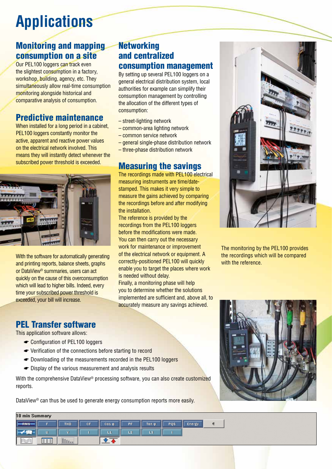# **Applications**

## Monitoring and mapping consumption on a site

Our PEL100 loggers can track even the slightest consumption in a factory, workshop, building, agency, etc. They simultaneously allow real-time consumption monitoring alongside historical and comparative analysis of consumption.

## Predictive maintenance

When installed for a long period in a cabinet, PEL100 loggers constantly monitor the active, apparent and reactive power values on the electrical network involved. This means they will instantly detect whenever the subscribed power threshold is exceeded.



With the software for automatically generating and printing reports, balance sheets, graphs or DataView® summaries, users can act quickly on the cause of this overconsumption which will lead to higher bills. Indeed, every time your subscribed power threshold is exceeded, your bill will increase.

#### **Networking** and centralized consumption management

By setting up several PEL100 loggers on a general electrical distribution system, local authorities for example can simplify their consumption management by controlling the allocation of the different types of consumption:

- street-lighting network
- common-area lighting network
- common service network
- general single-phase distribution network
- three-phase distribution network

### Measuring the savings

The recordings made with PEL100 electrical measuring instruments are time/datestamped. This makes it very simple to measure the gains achieved by comparing the recordings before and after modifying the installation.

The reference is provided by the recordings from the PEL100 loggers before the modifications were made. You can then carry out the necessary work for maintenance or improvement of the electrical network or equipment. A correctly-positioned PEL100 will quickly enable you to target the places where work is needed without delay.

Finally, a monitoring phase will help you to determine whether the solutions implemented are sufficient and, above all, to accurately measure any savings achieved.



The monitoring by the PEL100 provides the recordings which will be compared with the reference.



#### PEL Transfer software

This application software allows:

- ☛ Configuration of PEL100 loggers
- ☛ Verification of the connections before starting to record
- ☛ Downloading of the measurements recorded in the PEL100 loggers
- ☛ Display of the various measurement and analysis results

With the comprehensive DataView<sup>®</sup> processing software, you can also create customized reports.

DataView<sup>®</sup> can thus be used to generate energy consumption reports more easily.

| 10 min Summary    |     |                  |    |             |    |       |            |        |   |
|-------------------|-----|------------------|----|-------------|----|-------|------------|--------|---|
| I E<br><b>RMS</b> | F.  | <b>THD</b>       | CF | $\cos \phi$ | PF | Tan o | <b>PQS</b> | Energy | € |
| ⊩                 | U.  | $\mathbf{w}$     |    | L1          | L2 | L3    |            |        |   |
|                   | EEE | III <sub>I</sub> |    |             |    |       |            |        |   |